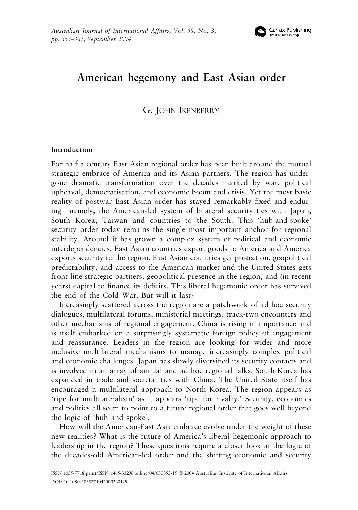

# *American hegemony and East Asian order*

*G. JOHN IKENBERRY*

## *Introduction*

*For half a century East Asian regional order has been built around the mutual strategic embrace of America and its Asian partners. The region has undergone dramatic transformation over the decades marked by war, political upheaval, democratisation, and economic boom and crisis. Yet the most basic reality of postwar East Asian order has stayed remarkably fixed and enduring—namely, the American-led system of bilateral security ties with Japan, South Korea, Taiwan and countries to the South. This 'hub-and-spoke' security order today remains the single most important anchor for regional stability. Around it has grown a complex system of political and economic interdependencies. East Asian countries export goods to America and America exports security to the region. East Asian countries get protection, geopolitical predictability, and access to the American market and the United States gets front-line strategic partners, geopolitical presence in the region, and (in recent years) capital to finance its deficits. This liberal hegemonic order has survived the end of the Cold War. But will it last?*

*Increasingly scattered across the region are a patchwork of ad hoc security dialogues, multilateral forums, ministerial meetings, track-two encounters and other mechanisms of regional engagement. China is rising in importance and is itself embarked on a surprisingly systematic foreign policy of engagement and reassurance. Leaders in the region are looking for wider and more inclusive multilateral mechanisms to manage increasingly complex political and economic challenges. Japan has slowly diversified its security contacts and is involved in an array of annual and ad hoc regional talks. South Korea has expanded in trade and societal ties with China. The United State itself has encouraged a multilateral approach to North Korea. The region appears as 'ripe for multilateralism' as it appears 'ripe for rivalry.' Security, economics and politics all seem to point to a future regional order that goes well beyond the logic of 'hub and spoke'.*

*How will the American-East Asia embrace evolve under the weight of these new realities? What is the future of America's liberal hegemonic approach to leadership in the region? These questions require a closer look at the logic of the decades-old American-led order and the shifting economic and security*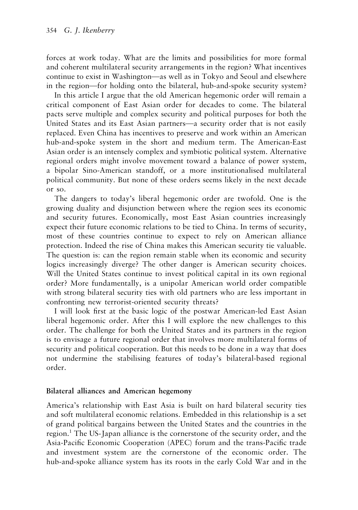*forces at work today. What are the limits and possibilities for more formal and coherent multilateral security arrangements in the region? What incentives continue to exist in Washington—as well as in Tokyo and Seoul and elsewhere in the region—for holding onto the bilateral, hub-and-spoke security system?*

*In this article I argue that the old American hegemonic order will remain a critical component of East Asian order for decades to come. The bilateral pacts serve multiple and complex security and political purposes for both the United States and its East Asian partners—a security order that is not easily replaced. Even China has incentives to preserve and work within an American hub-and-spoke system in the short and medium term. The American-East Asian order is an intensely complex and symbiotic political system. Alternative regional orders might involve movement toward a balance of power system, a bipolar Sino-American standoff, or a more institutionalised multilateral political community. But none of these orders seems likely in the next decade or so.*

*The dangers to today's liberal hegemonic order are twofold. One is the growing duality and disjunction between where the region sees its economic and security futures. Economically, most East Asian countries increasingly expect their future economic relations to be tied to China. In terms of security, most of these countries continue to expect to rely on American alliance protection. Indeed the rise of China makes this American security tie valuable. The question is: can the region remain stable when its economic and security logics increasingly diverge? The other danger is American security choices. Will the United States continue to invest political capital in its own regional order? More fundamentally, is a unipolar American world order compatible with strong bilateral security ties with old partners who are less important in confronting new terrorist-oriented security threats?*

*I will look first at the basic logic of the postwar American-led East Asian liberal hegemonic order. After this I will explore the new challenges to this order. The challenge for both the United States and its partners in the region is to envisage a future regional order that involves more multilateral forms of security and political cooperation. But this needs to be done in a way that does not undermine the stabilising features of today's bilateral-based regional order.*

#### *Bilateral alliances and American hegemony*

*America's relationship with East Asia is built on hard bilateral security ties and soft multilateral economic relations. Embedded in this relationship is a set of grand political bargains between the United States and the countries in the region.1 The US-Japan alliance is the cornerstone of the security order, and the Asia-Pacific Economic Cooperation (APEC) forum and the trans-Pacific trade and investment system are the cornerstone of the economic order. The hub-and-spoke alliance system has its roots in the early Cold War and in the*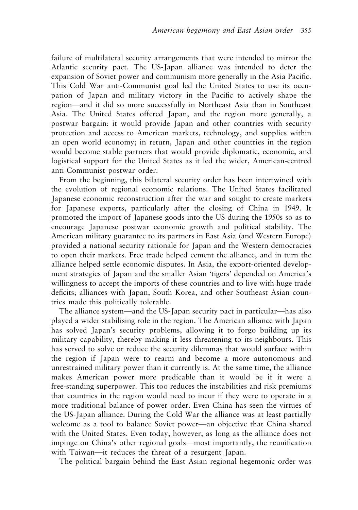*failure of multilateral security arrangements that were intended to mirror the Atlantic security pact. The US-Japan alliance was intended to deter the expansion of Soviet power and communism more generally in the Asia Pacific. This Cold War anti-Communist goal led the United States to use its occupation of Japan and military victory in the Pacific to actively shape the region—and it did so more successfully in Northeast Asia than in Southeast Asia. The United States offered Japan, and the region more generally, a postwar bargain: it would provide Japan and other countries with security protection and access to American markets, technology, and supplies within an open world economy; in return, Japan and other countries in the region would become stable partners that would provide diplomatic, economic, and logistical support for the United States as it led the wider, American-centred anti-Communist postwar order.*

*From the beginning, this bilateral security order has been intertwined with the evolution of regional economic relations. The United States facilitated Japanese economic reconstruction after the war and sought to create markets for Japanese exports, particularly after the closing of China in 1949. It promoted the import of Japanese goods into the US during the 1950s so as to encourage Japanese postwar economic growth and political stability. The American military guarantee to its partners in East Asia (and Western Europe) provided a national security rationale for Japan and the Western democracies to open their markets. Free trade helped cement the alliance, and in turn the alliance helped settle economic disputes. In Asia, the export-oriented development strategies of Japan and the smaller Asian 'tigers' depended on America's willingness to accept the imports of these countries and to live with huge trade deficits; alliances with Japan, South Korea, and other Southeast Asian countries made this politically tolerable.*

*The alliance system—and the US-Japan security pact in particular—has also played a wider stabilising role in the region. The American alliance with Japan has solved Japan's security problems, allowing it to forgo building up its military capability, thereby making it less threatening to its neighbours. This has served to solve or reduce the security dilemmas that would surface within the region if Japan were to rearm and become a more autonomous and unrestrained military power than it currently is. At the same time, the alliance makes American power more predicable than it would be if it were a free-standing superpower. This too reduces the instabilities and risk premiums that countries in the region would need to incur if they were to operate in a more traditional balance of power order. Even China has seen the virtues of the US-Japan alliance. During the Cold War the alliance was at least partially welcome as a tool to balance Soviet power—an objective that China shared with the United States. Even today, however, as long as the alliance does not impinge on China's other regional goals—most importantly, the reunification with Taiwan—it reduces the threat of a resurgent Japan.*

*The political bargain behind the East Asian regional hegemonic order was*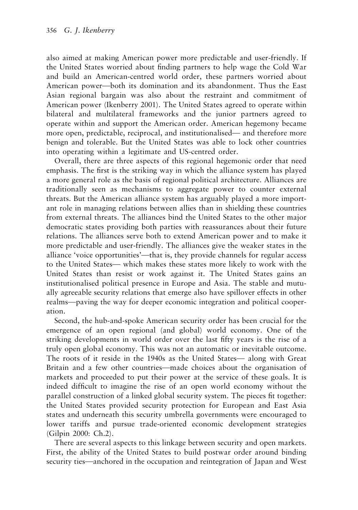*also aimed at making American power more predictable and user-friendly. If the United States worried about finding partners to help wage the Cold War and build an American-centred world order, these partners worried about American power—both its domination and its abandonment. Thus the East Asian regional bargain was also about the restraint and commitment of American power (Ikenberry 2001). The United States agreed to operate within bilateral and multilateral frameworks and the junior partners agreed to operate within and support the American order. American hegemony became more open, predictable, reciprocal, and institutionalised— and therefore more benign and tolerable. But the United States was able to lock other countries into operating within a legitimate and US-centred order.*

*Overall, there are three aspects of this regional hegemonic order that need emphasis. The first is the striking way in which the alliance system has played a more general role as the basis of regional political architecture. Alliances are traditionally seen as mechanisms to aggregate power to counter external threats. But the American alliance system has arguably played a more important role in managing relations between allies than in shielding these countries from external threats. The alliances bind the United States to the other major democratic states providing both parties with reassurances about their future relations. The alliances serve both to extend American power and to make it more predictable and user-friendly. The alliances give the weaker states in the alliance 'voice opportunities'—that is, they provide channels for regular access to the United States— which makes these states more likely to work with the United States than resist or work against it. The United States gains an institutionalised political presence in Europe and Asia. The stable and mutually agreeable security relations that emerge also have spillover effects in other realms—paving the way for deeper economic integration and political cooperation.*

*Second, the hub-and-spoke American security order has been crucial for the emergence of an open regional (and global) world economy. One of the striking developments in world order over the last fifty years is the rise of a truly open global economy. This was not an automatic or inevitable outcome. The roots of it reside in the 1940s as the United States— along with Great Britain and a few other countries—made choices about the organisation of markets and proceeded to put their power at the service of these goals. It is indeed difficult to imagine the rise of an open world economy without the parallel construction of a linked global security system. The pieces fit together: the United States provided security protection for European and East Asia states and underneath this security umbrella governments were encouraged to lower tariffs and pursue trade-oriented economic development strategies (Gilpin 2000: Ch.2).*

*There are several aspects to this linkage between security and open markets. First, the ability of the United States to build postwar order around binding security ties—anchored in the occupation and reintegration of Japan and West*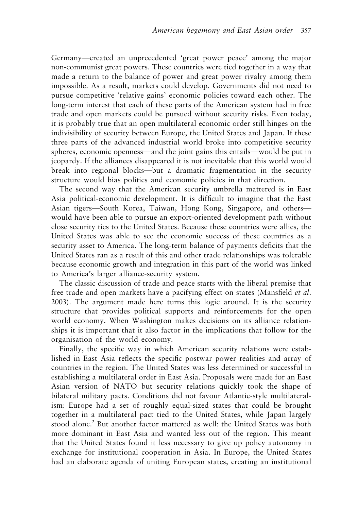*Germany—created an unprecedented 'great power peace' among the major non-communist great powers. These countries were tied together in a way that made a return to the balance of power and great power rivalry among them impossible. As a result, markets could develop. Governments did not need to pursue competitive 'relative gains' economic policies toward each other. The long-term interest that each of these parts of the American system had in free trade and open markets could be pursued without security risks. Even today, it is probably true that an open multilateral economic order still hinges on the indivisibility of security between Europe, the United States and Japan. If these three parts of the advanced industrial world broke into competitive security spheres, economic openness—and the joint gains this entails—would be put in jeopardy. If the alliances disappeared it is not inevitable that this world would break into regional blocks—but a dramatic fragmentation in the security structure would bias politics and economic policies in that direction.*

*The second way that the American security umbrella mattered is in East Asia political-economic development. It is difficult to imagine that the East Asian tigers—South Korea, Taiwan, Hong Kong, Singapore, and others would have been able to pursue an export-oriented development path without close security ties to the United States. Because these countries were allies, the United States was able to see the economic success of these countries as a security asset to America. The long-term balance of payments deficits that the United States ran as a result of this and other trade relationships was tolerable because economic growth and integration in this part of the world was linked to America's larger alliance-security system.*

*The classic discussion of trade and peace starts with the liberal premise that* free trade and open markets have a pacifying effect on states (Mansfield *et al.*) *2003). The argument made here turns this logic around. It is the security structure that provides political supports and reinforcements for the open world economy. When Washington makes decisions on its alliance relationships it is important that it also factor in the implications that follow for the organisation of the world economy.*

*Finally, the specific way in which American security relations were established in East Asia reflects the specific postwar power realities and array of countries in the region. The United States was less determined or successful in establishing a multilateral order in East Asia. Proposals were made for an East Asian version of NATO but security relations quickly took the shape of bilateral military pacts. Conditions did not favour Atlantic-style multilateralism: Europe had a set of roughly equal-sized states that could be brought together in a multilateral pact tied to the United States, while Japan largely stood alone.2 But another factor mattered as well: the United States was both more dominant in East Asia and wanted less out of the region. This meant that the United States found it less necessary to give up policy autonomy in exchange for institutional cooperation in Asia. In Europe, the United States had an elaborate agenda of uniting European states, creating an institutional*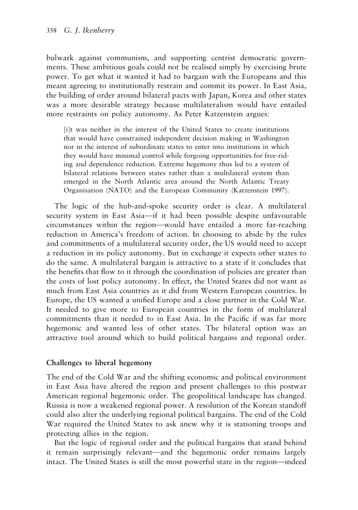*bulwark against communism, and supporting centrist democratic governments. These ambitious goals could not be realised simply by exercising brute power. To get what it wanted it had to bargain with the Europeans and this meant agreeing to institutionally restrain and commit its power. In East Asia, the building of order around bilateral pacts with Japan, Korea and other states was a more desirable strategy because multilateralism would have entailed more restraints on policy autonomy. As Peter Katzenstein argues:*

*[i]t was neither in the interest of the United States to create institutions that would have constrained independent decision making in Washington nor in the interest of subordinate states to enter into institutions in which they would have minimal control while forgoing opportunities for free-riding and dependence reduction. Extreme hegemony thus led to a system of bilateral relations between states rather than a multilateral system than emerged in the North Atlantic area around the North Atlantic Treaty Organisation (NATO) and the European Community (Katzenstein 1997).*

*The logic of the hub-and-spoke security order is clear. A multilateral security system in East Asia—if it had been possible despite unfavourable circumstances within the region—would have entailed a more far-reaching reduction in America's freedom of action. In choosing to abide by the rules and commitments of a multilateral security order, the US would need to accept a reduction in its policy autonomy. But in exchange it expects other states to do the same. A multilateral bargain is attractive to a state if it concludes that the benefits that flow to it through the coordination of policies are greater than the costs of lost policy autonomy. In effect, the United States did not want as much from East Asia countries as it did from Western European countries. In Europe, the US wanted a unified Europe and a close partner in the Cold War. It needed to give more to European countries in the form of multilateral commitments than it needed to in East Asia. In the Pacific if was far more hegemonic and wanted less of other states. The bilateral option was an attractive tool around which to build political bargains and regional order.*

## *Challenges to liberal hegemony*

*The end of the Cold War and the shifting economic and political environment in East Asia have altered the region and present challenges to this postwar American regional hegemonic order. The geopolitical landscape has changed. Russia is now a weakened regional power. A resolution of the Korean standoff could also alter the underlying regional political bargains. The end of the Cold War required the United States to ask anew why it is stationing troops and protecting allies in the region.*

*But the logic of regional order and the political bargains that stand behind it remain surprisingly relevant—and the hegemonic order remains largely intact. The United States is still the most powerful state in the region—indeed*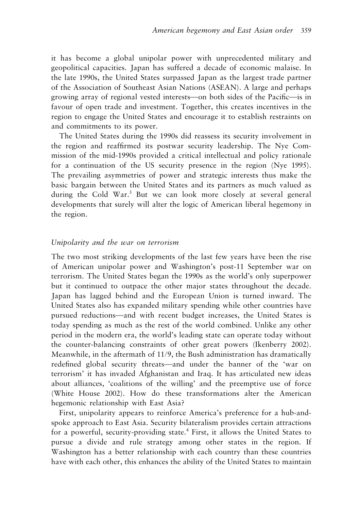*it has become a global unipolar power with unprecedented military and geopolitical capacities. Japan has suffered a decade of economic malaise. In the late 1990s, the United States surpassed Japan as the largest trade partner of the Association of Southeast Asian Nations (ASEAN). A large and perhaps growing array of regional vested interests—on both sides of the Pacific—is in favour of open trade and investment. Together, this creates incentives in the region to engage the United States and encourage it to establish restraints on and commitments to its power.*

*The United States during the 1990s did reassess its security involvement in the region and reaffirmed its postwar security leadership. The Nye Commission of the mid-1990s provided a critical intellectual and policy rationale for a continuation of the US security presence in the region (Nye 1995). The prevailing asymmetries of power and strategic interests thus make the basic bargain between the United States and its partners as much valued as during the Cold War.<sup>3</sup> But we can look more closely at several general developments that surely will alter the logic of American liberal hegemony in the region.*

#### *Unipolarity and the war on terrorism*

*The two most striking developments of the last few years have been the rise of American unipolar power and Washington's post-11 September war on terrorism. The United States began the 1990s as the world's only superpower but it continued to outpace the other major states throughout the decade. Japan has lagged behind and the European Union is turned inward. The United States also has expanded military spending while other countries have pursued reductions—and with recent budget increases, the United States is today spending as much as the rest of the world combined. Unlike any other period in the modern era, the world's leading state can operate today without the counter-balancing constraints of other great powers (Ikenberry 2002). Meanwhile, in the aftermath of 11/9, the Bush administration has dramatically redefined global security threats—and under the banner of the 'war on terrorism' it has invaded Afghanistan and Iraq. It has articulated new ideas about alliances, 'coalitions of the willing' and the preemptive use of force (White House 2002). How do these transformations alter the American hegemonic relationship with East Asia?*

*First, unipolarity appears to reinforce America's preference for a hub-andspoke approach to East Asia. Security bilateralism provides certain attractions for a powerful, security-providing state.<sup>4</sup> First, it allows the United States to pursue a divide and rule strategy among other states in the region. If Washington has a better relationship with each country than these countries have with each other, this enhances the ability of the United States to maintain*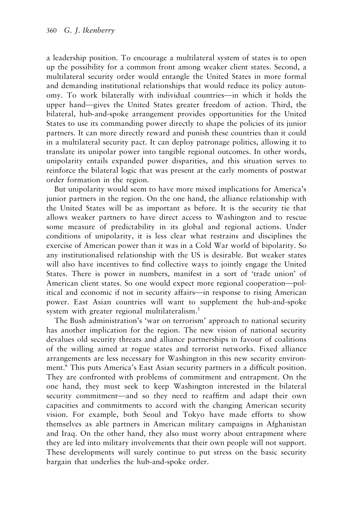*a leadership position. To encourage a multilateral system of states is to open up the possibility for a common front among weaker client states. Second, a multilateral security order would entangle the United States in more formal and demanding institutional relationships that would reduce its policy autonomy. To work bilaterally with individual countries—in which it holds the upper hand—gives the United States greater freedom of action. Third, the bilateral, hub-and-spoke arrangement provides opportunities for the United States to use its commanding power directly to shape the policies of its junior partners. It can more directly reward and punish these countries than it could in a multilateral security pact. It can deploy patronage politics, allowing it to translate its unipolar power into tangible regional outcomes. In other words, unipolarity entails expanded power disparities, and this situation serves to reinforce the bilateral logic that was present at the early moments of postwar order formation in the region.*

*But unipolarity would seem to have more mixed implications for America's junior partners in the region. On the one hand, the alliance relationship with the United States will be as important as before. It is the security tie that allows weaker partners to have direct access to Washington and to rescue some measure of predictability in its global and regional actions. Under conditions of unipolarity, it is less clear what restrains and disciplines the exercise of American power than it was in a Cold War world of bipolarity. So any institutionalised relationship with the US is desirable. But weaker states will also have incentives to find collective ways to jointly engage the United States. There is power in numbers, manifest in a sort of 'trade union' of American client states. So one would expect more regional cooperation—political and economic if not in security affairs—in response to rising American power. East Asian countries will want to supplement the hub-and-spoke system with greater regional multilateralism.<sup>5</sup>*

*The Bush administration's 'war on terrorism' approach to national security has another implication for the region. The new vision of national security devalues old security threats and alliance partnerships in favour of coalitions of the willing aimed at rogue states and terrorist networks. Fixed alliance arrangements are less necessary for Washington in this new security environment.6 This puts America's East Asian security partners in a difficult position. They are confronted with problems of commitment and entrapment. On the one hand, they must seek to keep Washington interested in the bilateral security commitment—and so they need to reaffirm and adapt their own capacities and commitments to accord with the changing American security vision. For example, both Seoul and Tokyo have made efforts to show themselves as able partners in American military campaigns in Afghanistan and Iraq. On the other hand, they also must worry about entrapment where they are led into military involvements that their own people will not support. These developments will surely continue to put stress on the basic security bargain that underlies the hub-and-spoke order.*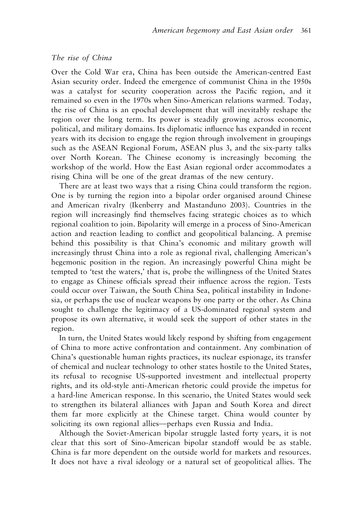#### *The rise of China*

*Over the Cold War era, China has been outside the American-centred East Asian security order. Indeed the emergence of communist China in the 1950s was a catalyst for security cooperation across the Pacific region, and it remained so even in the 1970s when Sino-American relations warmed. Today, the rise of China is an epochal development that will inevitably reshape the region over the long term. Its power is steadily growing across economic, political, and military domains. Its diplomatic influence has expanded in recent years with its decision to engage the region through involvement in groupings such as the ASEAN Regional Forum, ASEAN plus 3, and the six-party talks over North Korean. The Chinese economy is increasingly becoming the workshop of the world. How the East Asian regional order accommodates a rising China will be one of the great dramas of the new century.*

*There are at least two ways that a rising China could transform the region. One is by turning the region into a bipolar order organised around Chinese and American rivalry (Ikenberry and Mastanduno 2003). Countries in the region will increasingly find themselves facing strategic choices as to which regional coalition to join. Bipolarity will emerge in a process of Sino-American action and reaction leading to conflict and geopolitical balancing. A premise behind this possibility is that China's economic and military growth will increasingly thrust China into a role as regional rival, challenging American's hegemonic position in the region. An increasingly powerful China might be tempted to 'test the waters,' that is, probe the willingness of the United States to engage as Chinese officials spread their influence across the region. Tests could occur over Taiwan, the South China Sea, political instability in Indonesia, or perhaps the use of nuclear weapons by one party or the other. As China sought to challenge the legitimacy of a US-dominated regional system and propose its own alternative, it would seek the support of other states in the region.*

*In turn, the United States would likely respond by shifting from engagement of China to more active confrontation and containment. Any combination of China's questionable human rights practices, its nuclear espionage, its transfer of chemical and nuclear technology to other states hostile to the United States, its refusal to recognise US-supported investment and intellectual property rights, and its old-style anti-American rhetoric could provide the impetus for a hard-line American response. In this scenario, the United States would seek to strengthen its bilateral alliances with Japan and South Korea and direct them far more explicitly at the Chinese target. China would counter by soliciting its own regional allies—perhaps even Russia and India.*

*Although the Soviet-American bipolar struggle lasted forty years, it is not clear that this sort of Sino-American bipolar standoff would be as stable. China is far more dependent on the outside world for markets and resources. It does not have a rival ideology or a natural set of geopolitical allies. The*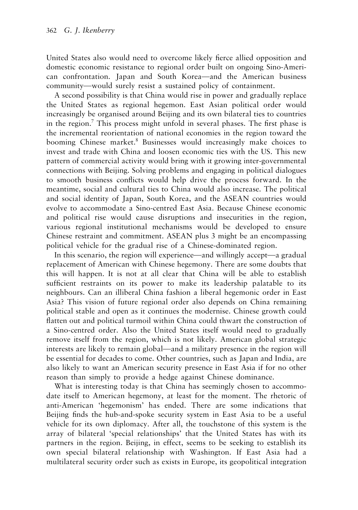*United States also would need to overcome likely fierce allied opposition and domestic economic resistance to regional order built on ongoing Sino-American confrontation. Japan and South Korea—and the American business community—would surely resist a sustained policy of containment.*

*A second possibility is that China would rise in power and gradually replace the United States as regional hegemon. East Asian political order would increasingly be organised around Beijing and its own bilateral ties to countries in the region.<sup>7</sup> This process might unfold in several phases. The first phase is the incremental reorientation of national economies in the region toward the booming Chinese market.<sup>8</sup> Businesses would increasingly make choices to invest and trade with China and loosen economic ties with the US. This new pattern of commercial activity would bring with it growing inter-governmental connections with Beijing. Solving problems and engaging in political dialogues to smooth business conflicts would help drive the process forward. In the meantime, social and cultural ties to China would also increase. The political and social identity of Japan, South Korea, and the ASEAN countries would evolve to accommodate a Sino-centred East Asia. Because Chinese economic and political rise would cause disruptions and insecurities in the region, various regional institutional mechanisms would be developed to ensure Chinese restraint and commitment. ASEAN plus 3 might be an encompassing political vehicle for the gradual rise of a Chinese-dominated region.*

*In this scenario, the region will experience—and willingly accept—a gradual replacement of American with Chinese hegemony. There are some doubts that this will happen. It is not at all clear that China will be able to establish sufficient restraints on its power to make its leadership palatable to its neighbours. Can an illiberal China fashion a liberal hegemonic order in East Asia? This vision of future regional order also depends on China remaining political stable and open as it continues the modernise. Chinese growth could flatten out and political turmoil within China could thwart the construction of a Sino-centred order. Also the United States itself would need to gradually remove itself from the region, which is not likely. American global strategic interests are likely to remain global—and a military presence in the region will be essential for decades to come. Other countries, such as Japan and India, are also likely to want an American security presence in East Asia if for no other reason than simply to provide a hedge against Chinese dominance.*

*What is interesting today is that China has seemingly chosen to accommodate itself to American hegemony, at least for the moment. The rhetoric of anti-American 'hegemonism' has ended. There are some indications that Beijing finds the hub-and-spoke security system in East Asia to be a useful vehicle for its own diplomacy. After all, the touchstone of this system is the array of bilateral 'special relationships' that the United States has with its partners in the region. Beijing, in effect, seems to be seeking to establish its own special bilateral relationship with Washington. If East Asia had a multilateral security order such as exists in Europe, its geopolitical integration*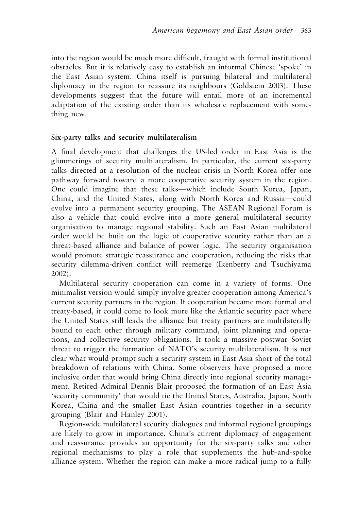*into the region would be much more difficult, fraught with formal institutional obstacles. But it is relatively easy to establish an informal Chinese 'spoke' in the East Asian system. China itself is pursuing bilateral and multilateral diplomacy in the region to reassure its neighbours (Goldstein 2003). These developments suggest that the future will entail more of an incremental adaptation of the existing order than its wholesale replacement with something new.*

## *Six-party talks and security multilateralism*

*A final development that challenges the US-led order in East Asia is the glimmerings of security multilateralism. In particular, the current six-party talks directed at a resolution of the nuclear crisis in North Korea offer one pathway forward toward a more cooperative security system in the region. One could imagine that these talks—which include South Korea, Japan, China, and the United States, along with North Korea and Russia—could evolve into a permanent security grouping. The ASEAN Regional Forum is also a vehicle that could evolve into a more general multilateral security organisation to manage regional stability. Such an East Asian multilateral order would be built on the logic of cooperative security rather than an a threat-based alliance and balance of power logic. The security organisation would promote strategic reassurance and cooperation, reducing the risks that security dilemma-driven conflict will reemerge (Ikenberry and Tsuchiyama 2002).*

*Multilateral security cooperation can come in a variety of forms. One minimalist version would simply involve greater cooperation among America's current security partners in the region. If cooperation became more formal and treaty-based, it could come to look more like the Atlantic security pact where the United States still leads the alliance but treaty partners are multilaterally bound to each other through military command, joint planning and operations, and collective security obligations. It took a massive postwar Soviet threat to trigger the formation of NATO's security multilateralism. It is not clear what would prompt such a security system in East Asia short of the total breakdown of relations with China. Some observers have proposed a more inclusive order that would bring China directly into regional security management. Retired Admiral Dennis Blair proposed the formation of an East Asia 'security community' that would tie the United States, Australia, Japan, South Korea, China and the smaller East Asian countries together in a security grouping (Blair and Hanley 2001).*

*Region-wide multilateral security dialogues and informal regional groupings are likely to grow in importance. China's current diplomacy of engagement and reassurance provides an opportunity for the six-party talks and other regional mechanisms to play a role that supplements the hub-and-spoke alliance system. Whether the region can make a more radical jump to a fully*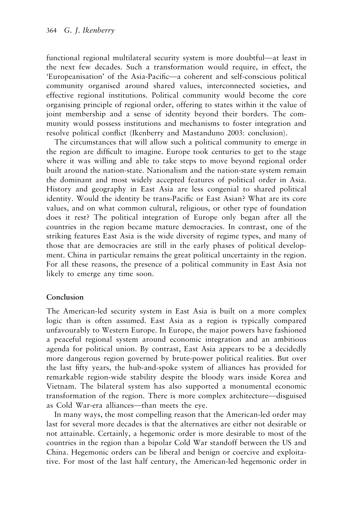*functional regional multilateral security system is more doubtful—at least in the next few decades. Such a transformation would require, in effect, the 'Europeanisation' of the Asia-Pacific—a coherent and self-conscious political community organised around shared values, interconnected societies, and effective regional institutions. Political community would become the core organising principle of regional order, offering to states within it the value of joint membership and a sense of identity beyond their borders. The community would possess institutions and mechanisms to foster integration and resolve political conflict (Ikenberry and Mastanduno 2003: conclusion).*

*The circumstances that will allow such a political community to emerge in the region are difficult to imagine. Europe took centuries to get to the stage where it was willing and able to take steps to move beyond regional order built around the nation-state. Nationalism and the nation-state system remain the dominant and most widely accepted features of political order in Asia. History and geography in East Asia are less congenial to shared political identity. Would the identity be trans-Pacific or East Asian? What are its core values, and on what common cultural, religious, or other type of foundation does it rest? The political integration of Europe only began after all the countries in the region became mature democracies. In contrast, one of the striking features East Asia is the wide diversity of regime types, and many of those that are democracies are still in the early phases of political development. China in particular remains the great political uncertainty in the region. For all these reasons, the presence of a political community in East Asia not likely to emerge any time soon.*

## *Conclusion*

*The American-led security system in East Asia is built on a more complex logic than is often assumed. East Asia as a region is typically compared unfavourably to Western Europe. In Europe, the major powers have fashioned a peaceful regional system around economic integration and an ambitious agenda for political union. By contrast, East Asia appears to be a decidedly more dangerous region governed by brute-power political realities. But over the last fifty years, the hub-and-spoke system of alliances has provided for remarkable region-wide stability despite the bloody wars inside Korea and Vietnam. The bilateral system has also supported a monumental economic transformation of the region. There is more complex architecture—disguised as Cold War-era alliances—than meets the eye.*

*In many ways, the most compelling reason that the American-led order may last for several more decades is that the alternatives are either not desirable or not attainable. Certainly, a hegemonic order is more desirable to most of the countries in the region than a bipolar Cold War standoff between the US and China. Hegemonic orders can be liberal and benign or coercive and exploitative. For most of the last half century, the American-led hegemonic order in*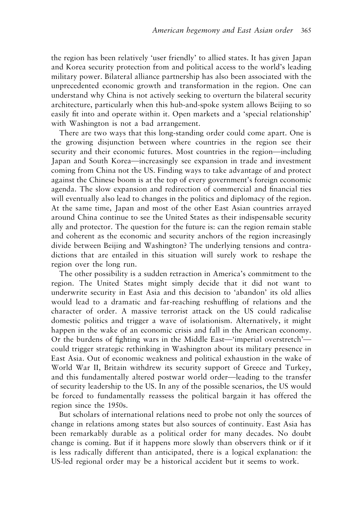*the region has been relatively 'user friendly' to allied states. It has given Japan and Korea security protection from and political access to the world's leading military power. Bilateral alliance partnership has also been associated with the unprecedented economic growth and transformation in the region. One can understand why China is not actively seeking to overturn the bilateral security architecture, particularly when this hub-and-spoke system allows Beijing to so easily fit into and operate within it. Open markets and a 'special relationship' with Washington is not a bad arrangement.*

*There are two ways that this long-standing order could come apart. One is the growing disjunction between where countries in the region see their security and their economic futures. Most countries in the region—including Japan and South Korea—increasingly see expansion in trade and investment coming from China not the US. Finding ways to take advantage of and protect against the Chinese boom is at the top of every government's foreign economic agenda. The slow expansion and redirection of commercial and financial ties will eventually also lead to changes in the politics and diplomacy of the region. At the same time, Japan and most of the other East Asian countries arrayed around China continue to see the United States as their indispensable security ally and protector. The question for the future is: can the region remain stable and coherent as the economic and security anchors of the region increasingly divide between Beijing and Washington? The underlying tensions and contradictions that are entailed in this situation will surely work to reshape the region over the long run.*

*The other possibility is a sudden retraction in America's commitment to the region. The United States might simply decide that it did not want to underwrite security in East Asia and this decision to 'abandon' its old allies would lead to a dramatic and far-reaching reshuffling of relations and the character of order. A massive terrorist attack on the US could radicalise domestic politics and trigger a wave of isolationism. Alternatively, it might happen in the wake of an economic crisis and fall in the American economy. Or the burdens of fighting wars in the Middle East—'imperial overstretch' could trigger strategic rethinking in Washington about its military presence in East Asia. Out of economic weakness and political exhaustion in the wake of World War II, Britain withdrew its security support of Greece and Turkey, and this fundamentally altered postwar world order—leading to the transfer of security leadership to the US. In any of the possible scenarios, the US would be forced to fundamentally reassess the political bargain it has offered the region since the 1950s.*

*But scholars of international relations need to probe not only the sources of change in relations among states but also sources of continuity. East Asia has been remarkably durable as a political order for many decades. No doubt change is coming. But if it happens more slowly than observers think or if it is less radically different than anticipated, there is a logical explanation: the US-led regional order may be a historical accident but it seems to work.*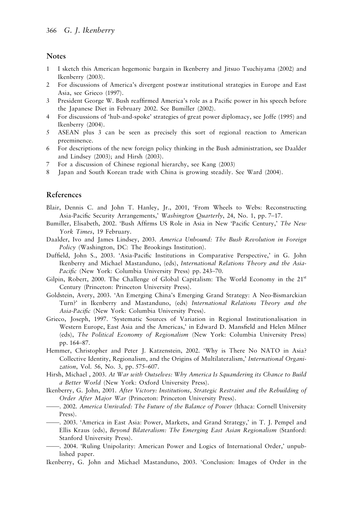#### *Notes*

- *1 I sketch this American hegemonic bargain in Ikenberry and Jitsuo Tsuchiyama (2002) and Ikenberry (2003).*
- *2 For discussions of America's divergent postwar institutional strategies in Europe and East Asia, see Grieco (1997).*
- *3 President George W. Bush reaffirmed America's role as a Pacific power in his speech before the Japanese Diet in February 2002. See Bumiller (2002).*
- *4 For discussions of 'hub-and-spoke' strategies of great power diplomacy, see Joffe (1995) and Ikenberry (2004).*
- *5 ASEAN plus 3 can be seen as precisely this sort of regional reaction to American preeminence.*
- *6 For descriptions of the new foreign policy thinking in the Bush administration, see Daalder and Lindsey (2003); and Hirsh (2003).*
- *7 For a discussion of Chinese regional hierarchy, see Kang (2003)*
- *8 Japan and South Korean trade with China is growing steadily. See Ward (2004).*

## *References*

- *Blair, Dennis C. and John T. Hanley, Jr., 2001, 'From Wheels to Webs: Reconstructing Asia-Pacific Security Arrangements,' Washington Quarterly, 24, No. 1, pp. 7–17.*
- *Bumiller, Elisabeth, 2002. 'Bush Affirms US Role in Asia in New 'Pacific Century,' The New York Times, 19 February.*
- *Daalder, Ivo and James Lindsey, 2003. America Unbound: The Bush Revolution in Foreign Policy (Washington, DC: The Brookings Institution).*
- *Duffield, John S., 2003. 'Asia-Pacific Institutions in Comparative Perspective,' in G. John Ikenberry and Michael Mastanduno, (eds), International Relations Theory and the Asia-Pacific (New York: Columbia University Press) pp. 243–70.*
- *Gilpin, Robert, 2000. The Challenge of Global Capitalism: The World Economy in the 21st Century (Princeton: Princeton University Press).*
- *Goldstein, Avery, 2003. 'An Emerging China's Emerging Grand Strategy: A Neo-Bismarckian Turn?' in Ikenberry and Mastanduno, (eds) International Relations Theory and the Asia-Pacific (New York: Columbia University Press).*
- *Grieco, Joseph, 1997. 'Systematic Sources of Variation in Regional Institutionalisation in Western Europe, East Asia and the Americas,' in Edward D. Mansfield and Helen Milner (eds), The Political Economy of Regionalism (New York: Columbia University Press) pp. 164–87.*
- *Hemmer, Christopher and Peter J. Katzenstein, 2002. 'Why is There No NATO in Asia? Collective Identity, Regionalism, and the Origins of Multilateralism,' International Organization, Vol. 56, No. 3, pp. 575–607.*
- *Hirsh, Michael , 2003. At War with Outselves: Why America Is Squandering its Chance to Build a Better World (New York: Oxford University Press).*
- *Ikenberry, G. John, 2001. After Victory: Institutions, Strategic Restraint and the Rebuilding of Order After Major War (Princeton: Princeton University Press).*
- *——. 2002. America Unrivaled: The Future of the Balance of Power (Ithaca: Cornell University Press).*
	- *——. 2003. 'America in East Asia: Power, Markets, and Grand Strategy,' in T. J. Pempel and Ellis Kraus (eds), Beyond Bilateralism: The Emerging East Asian Regionalism (Stanford: Stanford University Press).*
- *——. 2004. 'Ruling Unipolarity: American Power and Logics of International Order,' unpublished paper.*
- *Ikenberry, G. John and Michael Mastanduno, 2003. 'Conclusion: Images of Order in the*